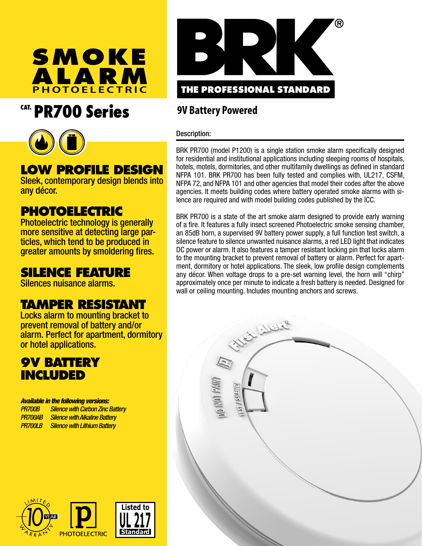

# CAT. PR700 Series



# **LOW PROFILE DESIGN**

Sleek, contemporary design blends into any décor.

## **PHOTOELECTRIC**

Photoelectric technology is generally more sensitive at detecting large particles, which tend to be produced in greater amounts by smoldering fires.

## **SILENCE FEATURE**

Silences nuisance alarms.

## **TAMPER RESISTANT**

Locks alarm to mounting bracket to prevent removal of battery and/or alarm. Perfect for apartment, dormitory or hotel applications.

## **9V BATTERY INCLUDED**

#### *Available in the following versions:*

*PR700B Silence with Carbon Zinc Battery PR700AB Silence with Alkaline Battery PR700LB Silence with Lithium Battery* 





## **9V Battery Powered**

#### Description:

BRK PR700 (model P1200) is a single station smoke alarm specifically designed for residential and institutional applications including sleeping rooms of hospitals, hotels, motels, dormitories, and other multifamily dwellings as defined in standard NFPA 101. BRK PR700 has been fully tested and complies with, UL217, CSFM, NFPA 72, and NFPA 101 and other agencies that model their codes after the above agencies. It meets building codes where battery operated smoke alarms with silence are required and with model building codes published by the ICC.

BRK PR700 is a state of the art smoke alarm designed to provide early warning of a fire. It features a fully insect screened Photoelectric smoke sensing chamber, an 85dB horn, a supervised 9V battery power supply, a full function test switch, a silence feature to silence unwanted nuisance alarms, a red LED light that indicates DC power or alarm. It also features a tamper resistant locking pin that locks alarm to the mounting bracket to prevent removal of battery or alarm. Perfect for apartment, dormitory or hotel applications. The sleek, low profile design complements any décor. When voltage drops to a pre-set warning level, the horn will "chirp" approximately once per minute to indicate a fresh battery is needed. Designed for wall or ceiling mounting. Includes mounting anchors and screws.

Suller

**PNHIN**